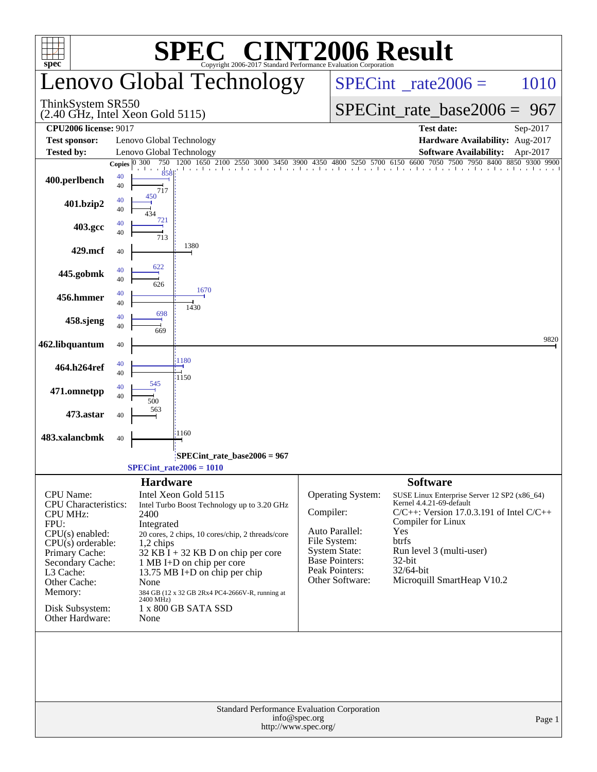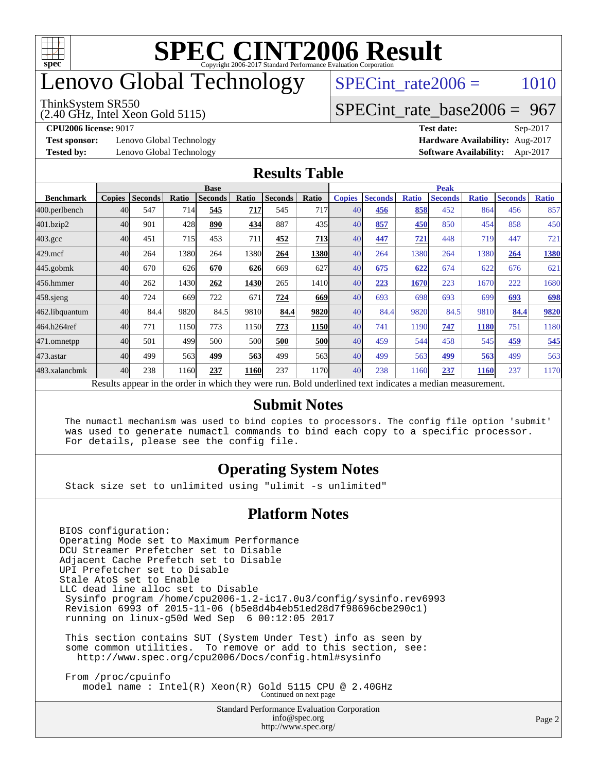

# enovo Global Technology

#### ThinkSystem SR550

(2.40 GHz, Intel Xeon Gold 5115)

 $SPECTnt_rate2006 = 1010$ 

### [SPECint\\_rate\\_base2006 =](http://www.spec.org/auto/cpu2006/Docs/result-fields.html#SPECintratebase2006) 967

**[Test sponsor:](http://www.spec.org/auto/cpu2006/Docs/result-fields.html#Testsponsor)** Lenovo Global Technology **[Hardware Availability:](http://www.spec.org/auto/cpu2006/Docs/result-fields.html#HardwareAvailability)** Aug-2017

**[CPU2006 license:](http://www.spec.org/auto/cpu2006/Docs/result-fields.html#CPU2006license)** 9017 **[Test date:](http://www.spec.org/auto/cpu2006/Docs/result-fields.html#Testdate)** Sep-2017 **[Tested by:](http://www.spec.org/auto/cpu2006/Docs/result-fields.html#Testedby)** Lenovo Global Technology **[Software Availability:](http://www.spec.org/auto/cpu2006/Docs/result-fields.html#SoftwareAvailability)** Apr-2017

#### **[Results Table](http://www.spec.org/auto/cpu2006/Docs/result-fields.html#ResultsTable)**

|                    | <b>Base</b>   |                |       |                |             |                |               | <b>Peak</b>   |                |              |                                                                                                          |              |                |              |
|--------------------|---------------|----------------|-------|----------------|-------------|----------------|---------------|---------------|----------------|--------------|----------------------------------------------------------------------------------------------------------|--------------|----------------|--------------|
| <b>Benchmark</b>   | <b>Copies</b> | <b>Seconds</b> | Ratio | <b>Seconds</b> | Ratio       | <b>Seconds</b> | Ratio         | <b>Copies</b> | <b>Seconds</b> | <b>Ratio</b> | <b>Seconds</b>                                                                                           | <b>Ratio</b> | <b>Seconds</b> | <b>Ratio</b> |
| 400.perlbench      | 40            | 547            | 714   | 545            | <u> 717</u> | 545            | 717           | 40            | 456            | 858          | 452                                                                                                      | 864          | 456            | 857          |
| 401.bzip2          | 40            | 901            | 428   | 890            | 434         | 887            | 435           | 40            | 857            | 450          | 850                                                                                                      | 454          | 858            | 450          |
| $403.\mathrm{gcc}$ | 40            | 451            | 715   | 453            | 711         | 452            | 713           | 40            | 447            | 721          | 448                                                                                                      | 719          | 447            | 721          |
| $429$ .mcf         | 40            | 264            | 1380  | 264            | 1380        | 264            | 1380          | 40            | 264            | 1380         | 264                                                                                                      | 1380         | 264            | 1380         |
| $445$ .gobmk       | 40            | 670            | 626   | 670            | 626         | 669            | 627           | 40            | 675            | 622          | 674                                                                                                      | 622          | 676            | 621          |
| 456.hmmer          | 40            | 262            | 1430  | 262            | 1430        | 265            | 1410 <b>1</b> | 40            | 223            | 1670         | 223                                                                                                      | 1670         | 222            | 1680         |
| $458$ .sjeng       | 40            | 724            | 669   | 722            | 671         | 724            | 669           | 40            | 693            | 698          | 693                                                                                                      | 699          | 693            | 698          |
| 462.libquantum     | 40            | 84.4           | 9820  | 84.5           | 9810        | 84.4           | 9820          | 40            | 84.4           | 9820         | 84.5                                                                                                     | 9810         | 84.4           | 9820         |
| 464.h264ref        | 40            | 771            | 1150  | 773            | 1150        | 773            | <b>1150</b>   | 40            | 741            | 1190         | 747                                                                                                      | 1180         | 751            | 1180         |
| 471.omnetpp        | 40            | 501            | 499   | 500            | 500         | 500            | <b>500</b>    | 40            | 459            | 544          | 458                                                                                                      | 545          | 459            | 545          |
| $473$ . astar      | 40            | 499            | 563   | 499            | 563         | 499            | 563           | 40            | 499            | 563          | 499                                                                                                      | 563          | 499            | 563          |
| 483.xalancbmk      | 40            | 238            | 1160  | 237            | 1160        | 237            | 1170          | 40            | 238            | 1160         | 237                                                                                                      | <b>1160</b>  | 237            | 1170         |
|                    |               |                |       |                |             |                |               |               |                |              | Results appear in the order in which they were run. Bold underlined text indicates a median measurement. |              |                |              |

#### **[Submit Notes](http://www.spec.org/auto/cpu2006/Docs/result-fields.html#SubmitNotes)**

 The numactl mechanism was used to bind copies to processors. The config file option 'submit' was used to generate numactl commands to bind each copy to a specific processor. For details, please see the config file.

### **[Operating System Notes](http://www.spec.org/auto/cpu2006/Docs/result-fields.html#OperatingSystemNotes)**

Stack size set to unlimited using "ulimit -s unlimited"

### **[Platform Notes](http://www.spec.org/auto/cpu2006/Docs/result-fields.html#PlatformNotes)**

BIOS configuration: Operating Mode set to Maximum Performance DCU Streamer Prefetcher set to Disable Adjacent Cache Prefetch set to Disable UPI Prefetcher set to Disable Stale AtoS set to Enable LLC dead line alloc set to Disable Sysinfo program /home/cpu2006-1.2-ic17.0u3/config/sysinfo.rev6993 Revision 6993 of 2015-11-06 (b5e8d4b4eb51ed28d7f98696cbe290c1) running on linux-g50d Wed Sep 6 00:12:05 2017

 This section contains SUT (System Under Test) info as seen by some common utilities. To remove or add to this section, see: <http://www.spec.org/cpu2006/Docs/config.html#sysinfo>

 From /proc/cpuinfo model name : Intel(R) Xeon(R) Gold 5115 CPU @ 2.40GHz Continued on next page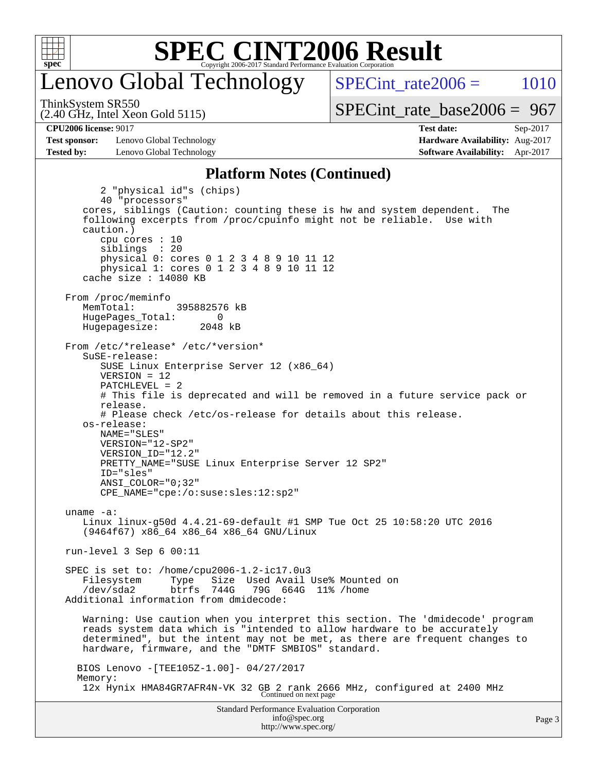

## enovo Global Technology

SPECint rate $2006 = 1010$ 

(2.40 GHz, Intel Xeon Gold 5115) ThinkSystem SR550

[SPECint\\_rate\\_base2006 =](http://www.spec.org/auto/cpu2006/Docs/result-fields.html#SPECintratebase2006) 967

**[Test sponsor:](http://www.spec.org/auto/cpu2006/Docs/result-fields.html#Testsponsor)** Lenovo Global Technology **[Hardware Availability:](http://www.spec.org/auto/cpu2006/Docs/result-fields.html#HardwareAvailability)** Aug-2017 **[Tested by:](http://www.spec.org/auto/cpu2006/Docs/result-fields.html#Testedby)** Lenovo Global Technology **[Software Availability:](http://www.spec.org/auto/cpu2006/Docs/result-fields.html#SoftwareAvailability)** Apr-2017

**[CPU2006 license:](http://www.spec.org/auto/cpu2006/Docs/result-fields.html#CPU2006license)** 9017 **[Test date:](http://www.spec.org/auto/cpu2006/Docs/result-fields.html#Testdate)** Sep-2017

#### **[Platform Notes \(Continued\)](http://www.spec.org/auto/cpu2006/Docs/result-fields.html#PlatformNotes)**

Standard Performance Evaluation Corporation 2 "physical id"s (chips) 40 "processors" cores, siblings (Caution: counting these is hw and system dependent. The following excerpts from /proc/cpuinfo might not be reliable. Use with caution.) cpu cores : 10 siblings : 20 physical 0: cores 0 1 2 3 4 8 9 10 11 12 physical 1: cores 0 1 2 3 4 8 9 10 11 12 cache size : 14080 KB From /proc/meminfo MemTotal: 395882576 kB<br>HugePages Total: 0 HugePages\_Total: 0<br>Hugepagesize: 2048 kB Hugepagesize: From /etc/\*release\* /etc/\*version\* SuSE-release: SUSE Linux Enterprise Server 12 (x86\_64) VERSION = 12 PATCHLEVEL = 2 # This file is deprecated and will be removed in a future service pack or release. # Please check /etc/os-release for details about this release. os-release: NAME="SLES" VERSION="12-SP2" VERSION\_ID="12.2" PRETTY\_NAME="SUSE Linux Enterprise Server 12 SP2" ID="sles" ANSI\_COLOR="0;32" CPE\_NAME="cpe:/o:suse:sles:12:sp2" uname -a: Linux linux-g50d 4.4.21-69-default #1 SMP Tue Oct 25 10:58:20 UTC 2016 (9464f67) x86\_64 x86\_64 x86\_64 GNU/Linux run-level 3 Sep 6 00:11 SPEC is set to: /home/cpu2006-1.2-ic17.0u3 Filesystem Type Size Used Avail Use% Mounted on<br>
/dev/sda2 btrfs 744G 79G 664G 11% /home /dev/sda2 btrfs 744G 79G 664G 11% /home Additional information from dmidecode: Warning: Use caution when you interpret this section. The 'dmidecode' program reads system data which is "intended to allow hardware to be accurately determined", but the intent may not be met, as there are frequent changes to hardware, firmware, and the "DMTF SMBIOS" standard. BIOS Lenovo -[TEE105Z-1.00]- 04/27/2017 Memory: 12x Hynix HMA84GR7AFR4N-VK 32 GB 2 rank 2666 MHz, configured at 2400 MHz Continued on next page

[info@spec.org](mailto:info@spec.org) <http://www.spec.org/>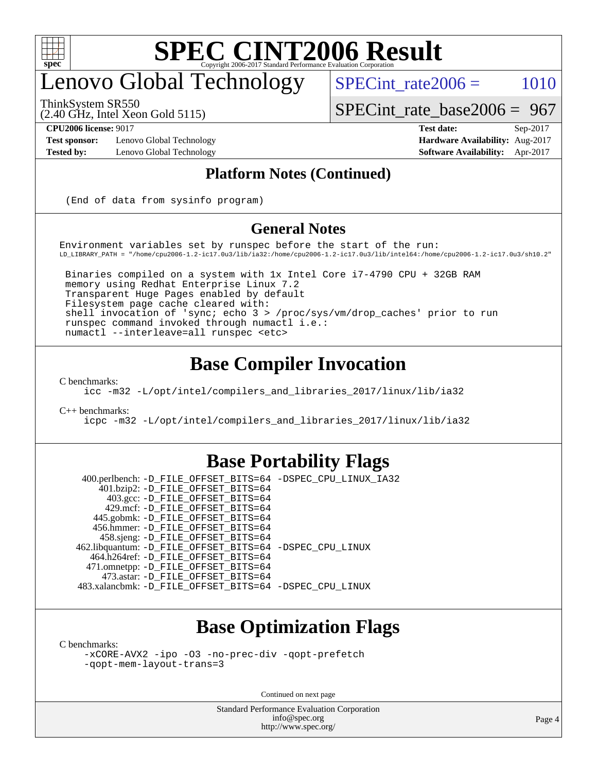

# enovo Global Technology

 $SPECTnt_rate2006 = 1010$ 

[SPECint\\_rate\\_base2006 =](http://www.spec.org/auto/cpu2006/Docs/result-fields.html#SPECintratebase2006) 967

ThinkSystem SR550

(2.40 GHz, Intel Xeon Gold 5115)

**[Test sponsor:](http://www.spec.org/auto/cpu2006/Docs/result-fields.html#Testsponsor)** Lenovo Global Technology **[Hardware Availability:](http://www.spec.org/auto/cpu2006/Docs/result-fields.html#HardwareAvailability)** Aug-2017

**[CPU2006 license:](http://www.spec.org/auto/cpu2006/Docs/result-fields.html#CPU2006license)** 9017 **[Test date:](http://www.spec.org/auto/cpu2006/Docs/result-fields.html#Testdate)** Sep-2017 **[Tested by:](http://www.spec.org/auto/cpu2006/Docs/result-fields.html#Testedby)** Lenovo Global Technology **[Software Availability:](http://www.spec.org/auto/cpu2006/Docs/result-fields.html#SoftwareAvailability)** Apr-2017

### **[Platform Notes \(Continued\)](http://www.spec.org/auto/cpu2006/Docs/result-fields.html#PlatformNotes)**

(End of data from sysinfo program)

#### **[General Notes](http://www.spec.org/auto/cpu2006/Docs/result-fields.html#GeneralNotes)**

Environment variables set by runspec before the start of the run: LD\_LIBRARY\_PATH = "/home/cpu2006-1.2-ic17.0u3/lib/ia32:/home/cpu2006-1.2-ic17.0u3/lib/intel64:/home/cpu2006-1.2-ic17.0u3/sh10.2"

 Binaries compiled on a system with 1x Intel Core i7-4790 CPU + 32GB RAM memory using Redhat Enterprise Linux 7.2 Transparent Huge Pages enabled by default Filesystem page cache cleared with: shell invocation of 'sync; echo 3 > /proc/sys/vm/drop\_caches' prior to run runspec command invoked through numactl i.e.: numactl --interleave=all runspec <etc>

### **[Base Compiler Invocation](http://www.spec.org/auto/cpu2006/Docs/result-fields.html#BaseCompilerInvocation)**

[C benchmarks](http://www.spec.org/auto/cpu2006/Docs/result-fields.html#Cbenchmarks):

[icc -m32 -L/opt/intel/compilers\\_and\\_libraries\\_2017/linux/lib/ia32](http://www.spec.org/cpu2006/results/res2017q4/cpu2006-20170914-49346.flags.html#user_CCbase_intel_icc_c29f3ff5a7ed067b11e4ec10a03f03ae)

[C++ benchmarks:](http://www.spec.org/auto/cpu2006/Docs/result-fields.html#CXXbenchmarks)

[icpc -m32 -L/opt/intel/compilers\\_and\\_libraries\\_2017/linux/lib/ia32](http://www.spec.org/cpu2006/results/res2017q4/cpu2006-20170914-49346.flags.html#user_CXXbase_intel_icpc_8c35c7808b62dab9ae41a1aa06361b6b)

### **[Base Portability Flags](http://www.spec.org/auto/cpu2006/Docs/result-fields.html#BasePortabilityFlags)**

 400.perlbench: [-D\\_FILE\\_OFFSET\\_BITS=64](http://www.spec.org/cpu2006/results/res2017q4/cpu2006-20170914-49346.flags.html#user_basePORTABILITY400_perlbench_file_offset_bits_64_438cf9856305ebd76870a2c6dc2689ab) [-DSPEC\\_CPU\\_LINUX\\_IA32](http://www.spec.org/cpu2006/results/res2017q4/cpu2006-20170914-49346.flags.html#b400.perlbench_baseCPORTABILITY_DSPEC_CPU_LINUX_IA32) 401.bzip2: [-D\\_FILE\\_OFFSET\\_BITS=64](http://www.spec.org/cpu2006/results/res2017q4/cpu2006-20170914-49346.flags.html#user_basePORTABILITY401_bzip2_file_offset_bits_64_438cf9856305ebd76870a2c6dc2689ab) 403.gcc: [-D\\_FILE\\_OFFSET\\_BITS=64](http://www.spec.org/cpu2006/results/res2017q4/cpu2006-20170914-49346.flags.html#user_basePORTABILITY403_gcc_file_offset_bits_64_438cf9856305ebd76870a2c6dc2689ab) 429.mcf: [-D\\_FILE\\_OFFSET\\_BITS=64](http://www.spec.org/cpu2006/results/res2017q4/cpu2006-20170914-49346.flags.html#user_basePORTABILITY429_mcf_file_offset_bits_64_438cf9856305ebd76870a2c6dc2689ab) 445.gobmk: [-D\\_FILE\\_OFFSET\\_BITS=64](http://www.spec.org/cpu2006/results/res2017q4/cpu2006-20170914-49346.flags.html#user_basePORTABILITY445_gobmk_file_offset_bits_64_438cf9856305ebd76870a2c6dc2689ab) 456.hmmer: [-D\\_FILE\\_OFFSET\\_BITS=64](http://www.spec.org/cpu2006/results/res2017q4/cpu2006-20170914-49346.flags.html#user_basePORTABILITY456_hmmer_file_offset_bits_64_438cf9856305ebd76870a2c6dc2689ab) 458.sjeng: [-D\\_FILE\\_OFFSET\\_BITS=64](http://www.spec.org/cpu2006/results/res2017q4/cpu2006-20170914-49346.flags.html#user_basePORTABILITY458_sjeng_file_offset_bits_64_438cf9856305ebd76870a2c6dc2689ab) 462.libquantum: [-D\\_FILE\\_OFFSET\\_BITS=64](http://www.spec.org/cpu2006/results/res2017q4/cpu2006-20170914-49346.flags.html#user_basePORTABILITY462_libquantum_file_offset_bits_64_438cf9856305ebd76870a2c6dc2689ab) [-DSPEC\\_CPU\\_LINUX](http://www.spec.org/cpu2006/results/res2017q4/cpu2006-20170914-49346.flags.html#b462.libquantum_baseCPORTABILITY_DSPEC_CPU_LINUX) 464.h264ref: [-D\\_FILE\\_OFFSET\\_BITS=64](http://www.spec.org/cpu2006/results/res2017q4/cpu2006-20170914-49346.flags.html#user_basePORTABILITY464_h264ref_file_offset_bits_64_438cf9856305ebd76870a2c6dc2689ab) 471.omnetpp: [-D\\_FILE\\_OFFSET\\_BITS=64](http://www.spec.org/cpu2006/results/res2017q4/cpu2006-20170914-49346.flags.html#user_basePORTABILITY471_omnetpp_file_offset_bits_64_438cf9856305ebd76870a2c6dc2689ab) 473.astar: [-D\\_FILE\\_OFFSET\\_BITS=64](http://www.spec.org/cpu2006/results/res2017q4/cpu2006-20170914-49346.flags.html#user_basePORTABILITY473_astar_file_offset_bits_64_438cf9856305ebd76870a2c6dc2689ab) 483.xalancbmk: [-D\\_FILE\\_OFFSET\\_BITS=64](http://www.spec.org/cpu2006/results/res2017q4/cpu2006-20170914-49346.flags.html#user_basePORTABILITY483_xalancbmk_file_offset_bits_64_438cf9856305ebd76870a2c6dc2689ab) [-DSPEC\\_CPU\\_LINUX](http://www.spec.org/cpu2006/results/res2017q4/cpu2006-20170914-49346.flags.html#b483.xalancbmk_baseCXXPORTABILITY_DSPEC_CPU_LINUX)

### **[Base Optimization Flags](http://www.spec.org/auto/cpu2006/Docs/result-fields.html#BaseOptimizationFlags)**

[C benchmarks](http://www.spec.org/auto/cpu2006/Docs/result-fields.html#Cbenchmarks):

[-xCORE-AVX2](http://www.spec.org/cpu2006/results/res2017q4/cpu2006-20170914-49346.flags.html#user_CCbase_f-xCORE-AVX2) [-ipo](http://www.spec.org/cpu2006/results/res2017q4/cpu2006-20170914-49346.flags.html#user_CCbase_f-ipo) [-O3](http://www.spec.org/cpu2006/results/res2017q4/cpu2006-20170914-49346.flags.html#user_CCbase_f-O3) [-no-prec-div](http://www.spec.org/cpu2006/results/res2017q4/cpu2006-20170914-49346.flags.html#user_CCbase_f-no-prec-div) [-qopt-prefetch](http://www.spec.org/cpu2006/results/res2017q4/cpu2006-20170914-49346.flags.html#user_CCbase_f-qopt-prefetch) [-qopt-mem-layout-trans=3](http://www.spec.org/cpu2006/results/res2017q4/cpu2006-20170914-49346.flags.html#user_CCbase_f-qopt-mem-layout-trans_170f5be61cd2cedc9b54468c59262d5d)

Continued on next page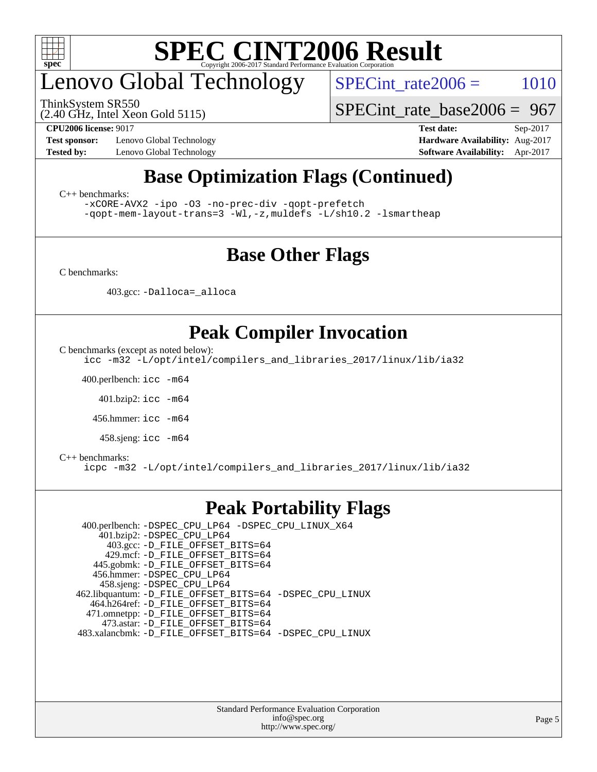

# enovo Global Technology

ThinkSystem SR550

 $SPECTnt_rate2006 = 1010$ 

[SPECint\\_rate\\_base2006 =](http://www.spec.org/auto/cpu2006/Docs/result-fields.html#SPECintratebase2006) 967

(2.40 GHz, Intel Xeon Gold 5115)

**[Test sponsor:](http://www.spec.org/auto/cpu2006/Docs/result-fields.html#Testsponsor)** Lenovo Global Technology **[Hardware Availability:](http://www.spec.org/auto/cpu2006/Docs/result-fields.html#HardwareAvailability)** Aug-2017

**[CPU2006 license:](http://www.spec.org/auto/cpu2006/Docs/result-fields.html#CPU2006license)** 9017 **[Test date:](http://www.spec.org/auto/cpu2006/Docs/result-fields.html#Testdate)** Sep-2017 **[Tested by:](http://www.spec.org/auto/cpu2006/Docs/result-fields.html#Testedby)** Lenovo Global Technology **[Software Availability:](http://www.spec.org/auto/cpu2006/Docs/result-fields.html#SoftwareAvailability)** Apr-2017

### **[Base Optimization Flags \(Continued\)](http://www.spec.org/auto/cpu2006/Docs/result-fields.html#BaseOptimizationFlags)**

[C++ benchmarks:](http://www.spec.org/auto/cpu2006/Docs/result-fields.html#CXXbenchmarks)

[-xCORE-AVX2](http://www.spec.org/cpu2006/results/res2017q4/cpu2006-20170914-49346.flags.html#user_CXXbase_f-xCORE-AVX2) [-ipo](http://www.spec.org/cpu2006/results/res2017q4/cpu2006-20170914-49346.flags.html#user_CXXbase_f-ipo) [-O3](http://www.spec.org/cpu2006/results/res2017q4/cpu2006-20170914-49346.flags.html#user_CXXbase_f-O3) [-no-prec-div](http://www.spec.org/cpu2006/results/res2017q4/cpu2006-20170914-49346.flags.html#user_CXXbase_f-no-prec-div) [-qopt-prefetch](http://www.spec.org/cpu2006/results/res2017q4/cpu2006-20170914-49346.flags.html#user_CXXbase_f-qopt-prefetch) [-qopt-mem-layout-trans=3](http://www.spec.org/cpu2006/results/res2017q4/cpu2006-20170914-49346.flags.html#user_CXXbase_f-qopt-mem-layout-trans_170f5be61cd2cedc9b54468c59262d5d) [-Wl,-z,muldefs](http://www.spec.org/cpu2006/results/res2017q4/cpu2006-20170914-49346.flags.html#user_CXXbase_link_force_multiple1_74079c344b956b9658436fd1b6dd3a8a) [-L/sh10.2 -lsmartheap](http://www.spec.org/cpu2006/results/res2017q4/cpu2006-20170914-49346.flags.html#user_CXXbase_SmartHeap_b831f2d313e2fffa6dfe3f00ffc1f1c0)

### **[Base Other Flags](http://www.spec.org/auto/cpu2006/Docs/result-fields.html#BaseOtherFlags)**

[C benchmarks](http://www.spec.org/auto/cpu2006/Docs/result-fields.html#Cbenchmarks):

403.gcc: [-Dalloca=\\_alloca](http://www.spec.org/cpu2006/results/res2017q4/cpu2006-20170914-49346.flags.html#b403.gcc_baseEXTRA_CFLAGS_Dalloca_be3056838c12de2578596ca5467af7f3)

### **[Peak Compiler Invocation](http://www.spec.org/auto/cpu2006/Docs/result-fields.html#PeakCompilerInvocation)**

[C benchmarks \(except as noted below\)](http://www.spec.org/auto/cpu2006/Docs/result-fields.html#Cbenchmarksexceptasnotedbelow):

[icc -m32 -L/opt/intel/compilers\\_and\\_libraries\\_2017/linux/lib/ia32](http://www.spec.org/cpu2006/results/res2017q4/cpu2006-20170914-49346.flags.html#user_CCpeak_intel_icc_c29f3ff5a7ed067b11e4ec10a03f03ae)

400.perlbench: [icc -m64](http://www.spec.org/cpu2006/results/res2017q4/cpu2006-20170914-49346.flags.html#user_peakCCLD400_perlbench_intel_icc_64bit_bda6cc9af1fdbb0edc3795bac97ada53)

401.bzip2: [icc -m64](http://www.spec.org/cpu2006/results/res2017q4/cpu2006-20170914-49346.flags.html#user_peakCCLD401_bzip2_intel_icc_64bit_bda6cc9af1fdbb0edc3795bac97ada53)

456.hmmer: [icc -m64](http://www.spec.org/cpu2006/results/res2017q4/cpu2006-20170914-49346.flags.html#user_peakCCLD456_hmmer_intel_icc_64bit_bda6cc9af1fdbb0edc3795bac97ada53)

458.sjeng: [icc -m64](http://www.spec.org/cpu2006/results/res2017q4/cpu2006-20170914-49346.flags.html#user_peakCCLD458_sjeng_intel_icc_64bit_bda6cc9af1fdbb0edc3795bac97ada53)

#### [C++ benchmarks:](http://www.spec.org/auto/cpu2006/Docs/result-fields.html#CXXbenchmarks)

[icpc -m32 -L/opt/intel/compilers\\_and\\_libraries\\_2017/linux/lib/ia32](http://www.spec.org/cpu2006/results/res2017q4/cpu2006-20170914-49346.flags.html#user_CXXpeak_intel_icpc_8c35c7808b62dab9ae41a1aa06361b6b)

### **[Peak Portability Flags](http://www.spec.org/auto/cpu2006/Docs/result-fields.html#PeakPortabilityFlags)**

 400.perlbench: [-DSPEC\\_CPU\\_LP64](http://www.spec.org/cpu2006/results/res2017q4/cpu2006-20170914-49346.flags.html#b400.perlbench_peakCPORTABILITY_DSPEC_CPU_LP64) [-DSPEC\\_CPU\\_LINUX\\_X64](http://www.spec.org/cpu2006/results/res2017q4/cpu2006-20170914-49346.flags.html#b400.perlbench_peakCPORTABILITY_DSPEC_CPU_LINUX_X64) 401.bzip2: [-DSPEC\\_CPU\\_LP64](http://www.spec.org/cpu2006/results/res2017q4/cpu2006-20170914-49346.flags.html#suite_peakCPORTABILITY401_bzip2_DSPEC_CPU_LP64) 403.gcc: [-D\\_FILE\\_OFFSET\\_BITS=64](http://www.spec.org/cpu2006/results/res2017q4/cpu2006-20170914-49346.flags.html#user_peakPORTABILITY403_gcc_file_offset_bits_64_438cf9856305ebd76870a2c6dc2689ab) 429.mcf: [-D\\_FILE\\_OFFSET\\_BITS=64](http://www.spec.org/cpu2006/results/res2017q4/cpu2006-20170914-49346.flags.html#user_peakPORTABILITY429_mcf_file_offset_bits_64_438cf9856305ebd76870a2c6dc2689ab) 445.gobmk: [-D\\_FILE\\_OFFSET\\_BITS=64](http://www.spec.org/cpu2006/results/res2017q4/cpu2006-20170914-49346.flags.html#user_peakPORTABILITY445_gobmk_file_offset_bits_64_438cf9856305ebd76870a2c6dc2689ab) 456.hmmer: [-DSPEC\\_CPU\\_LP64](http://www.spec.org/cpu2006/results/res2017q4/cpu2006-20170914-49346.flags.html#suite_peakCPORTABILITY456_hmmer_DSPEC_CPU_LP64) 458.sjeng: [-DSPEC\\_CPU\\_LP64](http://www.spec.org/cpu2006/results/res2017q4/cpu2006-20170914-49346.flags.html#suite_peakCPORTABILITY458_sjeng_DSPEC_CPU_LP64) 462.libquantum: [-D\\_FILE\\_OFFSET\\_BITS=64](http://www.spec.org/cpu2006/results/res2017q4/cpu2006-20170914-49346.flags.html#user_peakPORTABILITY462_libquantum_file_offset_bits_64_438cf9856305ebd76870a2c6dc2689ab) [-DSPEC\\_CPU\\_LINUX](http://www.spec.org/cpu2006/results/res2017q4/cpu2006-20170914-49346.flags.html#b462.libquantum_peakCPORTABILITY_DSPEC_CPU_LINUX) 464.h264ref: [-D\\_FILE\\_OFFSET\\_BITS=64](http://www.spec.org/cpu2006/results/res2017q4/cpu2006-20170914-49346.flags.html#user_peakPORTABILITY464_h264ref_file_offset_bits_64_438cf9856305ebd76870a2c6dc2689ab) 471.omnetpp: [-D\\_FILE\\_OFFSET\\_BITS=64](http://www.spec.org/cpu2006/results/res2017q4/cpu2006-20170914-49346.flags.html#user_peakPORTABILITY471_omnetpp_file_offset_bits_64_438cf9856305ebd76870a2c6dc2689ab) 473.astar: [-D\\_FILE\\_OFFSET\\_BITS=64](http://www.spec.org/cpu2006/results/res2017q4/cpu2006-20170914-49346.flags.html#user_peakPORTABILITY473_astar_file_offset_bits_64_438cf9856305ebd76870a2c6dc2689ab) 483.xalancbmk: [-D\\_FILE\\_OFFSET\\_BITS=64](http://www.spec.org/cpu2006/results/res2017q4/cpu2006-20170914-49346.flags.html#user_peakPORTABILITY483_xalancbmk_file_offset_bits_64_438cf9856305ebd76870a2c6dc2689ab) [-DSPEC\\_CPU\\_LINUX](http://www.spec.org/cpu2006/results/res2017q4/cpu2006-20170914-49346.flags.html#b483.xalancbmk_peakCXXPORTABILITY_DSPEC_CPU_LINUX)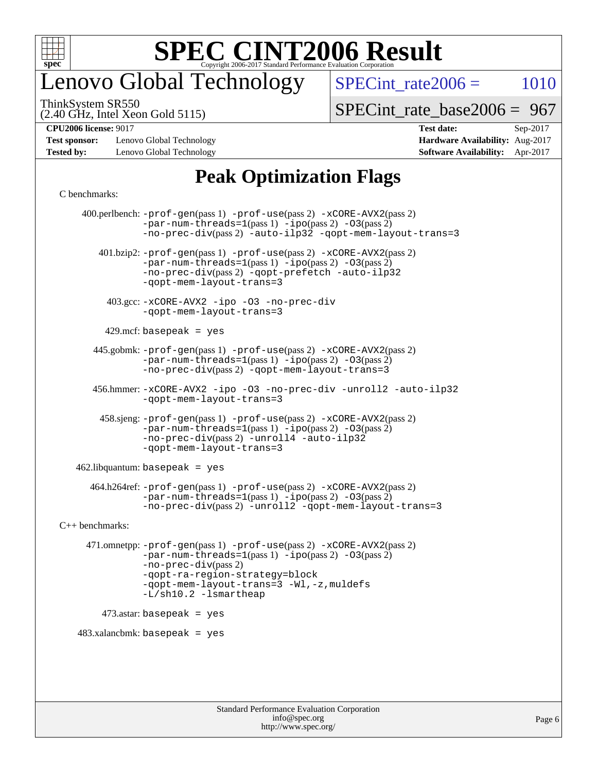

# enovo Global Technology

 $SPECTnt_rate2006 = 1010$ 

(2.40 GHz, Intel Xeon Gold 5115) ThinkSystem SR550

[SPECint\\_rate\\_base2006 =](http://www.spec.org/auto/cpu2006/Docs/result-fields.html#SPECintratebase2006) 967

**[Test sponsor:](http://www.spec.org/auto/cpu2006/Docs/result-fields.html#Testsponsor)** Lenovo Global Technology **[Hardware Availability:](http://www.spec.org/auto/cpu2006/Docs/result-fields.html#HardwareAvailability)** Aug-2017 **[Tested by:](http://www.spec.org/auto/cpu2006/Docs/result-fields.html#Testedby)** Lenovo Global Technology **[Software Availability:](http://www.spec.org/auto/cpu2006/Docs/result-fields.html#SoftwareAvailability)** Apr-2017

# **[CPU2006 license:](http://www.spec.org/auto/cpu2006/Docs/result-fields.html#CPU2006license)** 9017 **[Test date:](http://www.spec.org/auto/cpu2006/Docs/result-fields.html#Testdate)** Sep-2017

### **[Peak Optimization Flags](http://www.spec.org/auto/cpu2006/Docs/result-fields.html#PeakOptimizationFlags)**

#### [C benchmarks](http://www.spec.org/auto/cpu2006/Docs/result-fields.html#Cbenchmarks):

 400.perlbench: [-prof-gen](http://www.spec.org/cpu2006/results/res2017q4/cpu2006-20170914-49346.flags.html#user_peakPASS1_CFLAGSPASS1_LDCFLAGS400_perlbench_prof_gen_e43856698f6ca7b7e442dfd80e94a8fc)(pass 1) [-prof-use](http://www.spec.org/cpu2006/results/res2017q4/cpu2006-20170914-49346.flags.html#user_peakPASS2_CFLAGSPASS2_LDCFLAGS400_perlbench_prof_use_bccf7792157ff70d64e32fe3e1250b55)(pass 2) [-xCORE-AVX2](http://www.spec.org/cpu2006/results/res2017q4/cpu2006-20170914-49346.flags.html#user_peakPASS2_CFLAGSPASS2_LDCFLAGS400_perlbench_f-xCORE-AVX2)(pass 2)  $-par-num-threads=1(pass 1) -ipo(pass 2) -O3(pass 2)$  $-par-num-threads=1(pass 1) -ipo(pass 2) -O3(pass 2)$  $-par-num-threads=1(pass 1) -ipo(pass 2) -O3(pass 2)$  $-par-num-threads=1(pass 1) -ipo(pass 2) -O3(pass 2)$  $-par-num-threads=1(pass 1) -ipo(pass 2) -O3(pass 2)$  $-par-num-threads=1(pass 1) -ipo(pass 2) -O3(pass 2)$ [-no-prec-div](http://www.spec.org/cpu2006/results/res2017q4/cpu2006-20170914-49346.flags.html#user_peakPASS2_CFLAGSPASS2_LDCFLAGS400_perlbench_f-no-prec-div)(pass 2) [-auto-ilp32](http://www.spec.org/cpu2006/results/res2017q4/cpu2006-20170914-49346.flags.html#user_peakCOPTIMIZE400_perlbench_f-auto-ilp32) [-qopt-mem-layout-trans=3](http://www.spec.org/cpu2006/results/res2017q4/cpu2006-20170914-49346.flags.html#user_peakCOPTIMIZE400_perlbench_f-qopt-mem-layout-trans_170f5be61cd2cedc9b54468c59262d5d) 401.bzip2: [-prof-gen](http://www.spec.org/cpu2006/results/res2017q4/cpu2006-20170914-49346.flags.html#user_peakPASS1_CFLAGSPASS1_LDCFLAGS401_bzip2_prof_gen_e43856698f6ca7b7e442dfd80e94a8fc)(pass 1) [-prof-use](http://www.spec.org/cpu2006/results/res2017q4/cpu2006-20170914-49346.flags.html#user_peakPASS2_CFLAGSPASS2_LDCFLAGS401_bzip2_prof_use_bccf7792157ff70d64e32fe3e1250b55)(pass 2) [-xCORE-AVX2](http://www.spec.org/cpu2006/results/res2017q4/cpu2006-20170914-49346.flags.html#user_peakPASS2_CFLAGSPASS2_LDCFLAGS401_bzip2_f-xCORE-AVX2)(pass 2) [-par-num-threads=1](http://www.spec.org/cpu2006/results/res2017q4/cpu2006-20170914-49346.flags.html#user_peakPASS1_CFLAGSPASS1_LDCFLAGS401_bzip2_par_num_threads_786a6ff141b4e9e90432e998842df6c2)(pass 1) [-ipo](http://www.spec.org/cpu2006/results/res2017q4/cpu2006-20170914-49346.flags.html#user_peakPASS2_CFLAGSPASS2_LDCFLAGS401_bzip2_f-ipo)(pass 2) [-O3](http://www.spec.org/cpu2006/results/res2017q4/cpu2006-20170914-49346.flags.html#user_peakPASS2_CFLAGSPASS2_LDCFLAGS401_bzip2_f-O3)(pass 2) [-no-prec-div](http://www.spec.org/cpu2006/results/res2017q4/cpu2006-20170914-49346.flags.html#user_peakPASS2_CFLAGSPASS2_LDCFLAGS401_bzip2_f-no-prec-div)(pass 2) [-qopt-prefetch](http://www.spec.org/cpu2006/results/res2017q4/cpu2006-20170914-49346.flags.html#user_peakCOPTIMIZE401_bzip2_f-qopt-prefetch) [-auto-ilp32](http://www.spec.org/cpu2006/results/res2017q4/cpu2006-20170914-49346.flags.html#user_peakCOPTIMIZE401_bzip2_f-auto-ilp32) [-qopt-mem-layout-trans=3](http://www.spec.org/cpu2006/results/res2017q4/cpu2006-20170914-49346.flags.html#user_peakCOPTIMIZE401_bzip2_f-qopt-mem-layout-trans_170f5be61cd2cedc9b54468c59262d5d) 403.gcc: [-xCORE-AVX2](http://www.spec.org/cpu2006/results/res2017q4/cpu2006-20170914-49346.flags.html#user_peakOPTIMIZE403_gcc_f-xCORE-AVX2) [-ipo](http://www.spec.org/cpu2006/results/res2017q4/cpu2006-20170914-49346.flags.html#user_peakOPTIMIZE403_gcc_f-ipo) [-O3](http://www.spec.org/cpu2006/results/res2017q4/cpu2006-20170914-49346.flags.html#user_peakOPTIMIZE403_gcc_f-O3) [-no-prec-div](http://www.spec.org/cpu2006/results/res2017q4/cpu2006-20170914-49346.flags.html#user_peakOPTIMIZE403_gcc_f-no-prec-div) [-qopt-mem-layout-trans=3](http://www.spec.org/cpu2006/results/res2017q4/cpu2006-20170914-49346.flags.html#user_peakCOPTIMIZE403_gcc_f-qopt-mem-layout-trans_170f5be61cd2cedc9b54468c59262d5d)  $429$ .mcf: basepeak = yes 445.gobmk: [-prof-gen](http://www.spec.org/cpu2006/results/res2017q4/cpu2006-20170914-49346.flags.html#user_peakPASS1_CFLAGSPASS1_LDCFLAGS445_gobmk_prof_gen_e43856698f6ca7b7e442dfd80e94a8fc)(pass 1) [-prof-use](http://www.spec.org/cpu2006/results/res2017q4/cpu2006-20170914-49346.flags.html#user_peakPASS2_CFLAGSPASS2_LDCFLAGSPASS2_LDFLAGS445_gobmk_prof_use_bccf7792157ff70d64e32fe3e1250b55)(pass 2) [-xCORE-AVX2](http://www.spec.org/cpu2006/results/res2017q4/cpu2006-20170914-49346.flags.html#user_peakPASS2_CFLAGSPASS2_LDCFLAGSPASS2_LDFLAGS445_gobmk_f-xCORE-AVX2)(pass 2)  $-par-num-threads=1(pass 1) -ipo(pass 2) -O3(pass 2)$  $-par-num-threads=1(pass 1) -ipo(pass 2) -O3(pass 2)$  $-par-num-threads=1(pass 1) -ipo(pass 2) -O3(pass 2)$  $-par-num-threads=1(pass 1) -ipo(pass 2) -O3(pass 2)$  $-par-num-threads=1(pass 1) -ipo(pass 2) -O3(pass 2)$  $-par-num-threads=1(pass 1) -ipo(pass 2) -O3(pass 2)$ [-no-prec-div](http://www.spec.org/cpu2006/results/res2017q4/cpu2006-20170914-49346.flags.html#user_peakPASS2_LDCFLAGS445_gobmk_f-no-prec-div)(pass 2) [-qopt-mem-layout-trans=3](http://www.spec.org/cpu2006/results/res2017q4/cpu2006-20170914-49346.flags.html#user_peakCOPTIMIZE445_gobmk_f-qopt-mem-layout-trans_170f5be61cd2cedc9b54468c59262d5d) 456.hmmer: [-xCORE-AVX2](http://www.spec.org/cpu2006/results/res2017q4/cpu2006-20170914-49346.flags.html#user_peakOPTIMIZE456_hmmer_f-xCORE-AVX2) [-ipo](http://www.spec.org/cpu2006/results/res2017q4/cpu2006-20170914-49346.flags.html#user_peakOPTIMIZE456_hmmer_f-ipo) [-O3](http://www.spec.org/cpu2006/results/res2017q4/cpu2006-20170914-49346.flags.html#user_peakOPTIMIZE456_hmmer_f-O3) [-no-prec-div](http://www.spec.org/cpu2006/results/res2017q4/cpu2006-20170914-49346.flags.html#user_peakOPTIMIZE456_hmmer_f-no-prec-div) [-unroll2](http://www.spec.org/cpu2006/results/res2017q4/cpu2006-20170914-49346.flags.html#user_peakCOPTIMIZE456_hmmer_f-unroll_784dae83bebfb236979b41d2422d7ec2) [-auto-ilp32](http://www.spec.org/cpu2006/results/res2017q4/cpu2006-20170914-49346.flags.html#user_peakCOPTIMIZE456_hmmer_f-auto-ilp32) [-qopt-mem-layout-trans=3](http://www.spec.org/cpu2006/results/res2017q4/cpu2006-20170914-49346.flags.html#user_peakCOPTIMIZE456_hmmer_f-qopt-mem-layout-trans_170f5be61cd2cedc9b54468c59262d5d) 458.sjeng: [-prof-gen](http://www.spec.org/cpu2006/results/res2017q4/cpu2006-20170914-49346.flags.html#user_peakPASS1_CFLAGSPASS1_LDCFLAGS458_sjeng_prof_gen_e43856698f6ca7b7e442dfd80e94a8fc)(pass 1) [-prof-use](http://www.spec.org/cpu2006/results/res2017q4/cpu2006-20170914-49346.flags.html#user_peakPASS2_CFLAGSPASS2_LDCFLAGS458_sjeng_prof_use_bccf7792157ff70d64e32fe3e1250b55)(pass 2) [-xCORE-AVX2](http://www.spec.org/cpu2006/results/res2017q4/cpu2006-20170914-49346.flags.html#user_peakPASS2_CFLAGSPASS2_LDCFLAGS458_sjeng_f-xCORE-AVX2)(pass 2)  $-par-num-threads=1(pass 1) -ipo(pass 2) -O3(pass 2)$  $-par-num-threads=1(pass 1) -ipo(pass 2) -O3(pass 2)$  $-par-num-threads=1(pass 1) -ipo(pass 2) -O3(pass 2)$  $-par-num-threads=1(pass 1) -ipo(pass 2) -O3(pass 2)$  $-par-num-threads=1(pass 1) -ipo(pass 2) -O3(pass 2)$  $-par-num-threads=1(pass 1) -ipo(pass 2) -O3(pass 2)$ [-no-prec-div](http://www.spec.org/cpu2006/results/res2017q4/cpu2006-20170914-49346.flags.html#user_peakPASS2_CFLAGSPASS2_LDCFLAGS458_sjeng_f-no-prec-div)(pass 2) [-unroll4](http://www.spec.org/cpu2006/results/res2017q4/cpu2006-20170914-49346.flags.html#user_peakCOPTIMIZE458_sjeng_f-unroll_4e5e4ed65b7fd20bdcd365bec371b81f) [-auto-ilp32](http://www.spec.org/cpu2006/results/res2017q4/cpu2006-20170914-49346.flags.html#user_peakCOPTIMIZE458_sjeng_f-auto-ilp32) [-qopt-mem-layout-trans=3](http://www.spec.org/cpu2006/results/res2017q4/cpu2006-20170914-49346.flags.html#user_peakCOPTIMIZE458_sjeng_f-qopt-mem-layout-trans_170f5be61cd2cedc9b54468c59262d5d)  $462$ .libquantum: basepeak = yes 464.h264ref: [-prof-gen](http://www.spec.org/cpu2006/results/res2017q4/cpu2006-20170914-49346.flags.html#user_peakPASS1_CFLAGSPASS1_LDCFLAGS464_h264ref_prof_gen_e43856698f6ca7b7e442dfd80e94a8fc)(pass 1) [-prof-use](http://www.spec.org/cpu2006/results/res2017q4/cpu2006-20170914-49346.flags.html#user_peakPASS2_CFLAGSPASS2_LDCFLAGS464_h264ref_prof_use_bccf7792157ff70d64e32fe3e1250b55)(pass 2) [-xCORE-AVX2](http://www.spec.org/cpu2006/results/res2017q4/cpu2006-20170914-49346.flags.html#user_peakPASS2_CFLAGSPASS2_LDCFLAGS464_h264ref_f-xCORE-AVX2)(pass 2)  $-par-num-threads=1(pass 1) -ipo(pass 2) -O3(pass 2)$  $-par-num-threads=1(pass 1) -ipo(pass 2) -O3(pass 2)$  $-par-num-threads=1(pass 1) -ipo(pass 2) -O3(pass 2)$  $-par-num-threads=1(pass 1) -ipo(pass 2) -O3(pass 2)$  $-par-num-threads=1(pass 1) -ipo(pass 2) -O3(pass 2)$  $-par-num-threads=1(pass 1) -ipo(pass 2) -O3(pass 2)$ [-no-prec-div](http://www.spec.org/cpu2006/results/res2017q4/cpu2006-20170914-49346.flags.html#user_peakPASS2_CFLAGSPASS2_LDCFLAGS464_h264ref_f-no-prec-div)(pass 2) [-unroll2](http://www.spec.org/cpu2006/results/res2017q4/cpu2006-20170914-49346.flags.html#user_peakCOPTIMIZE464_h264ref_f-unroll_784dae83bebfb236979b41d2422d7ec2) [-qopt-mem-layout-trans=3](http://www.spec.org/cpu2006/results/res2017q4/cpu2006-20170914-49346.flags.html#user_peakCOPTIMIZE464_h264ref_f-qopt-mem-layout-trans_170f5be61cd2cedc9b54468c59262d5d) [C++ benchmarks:](http://www.spec.org/auto/cpu2006/Docs/result-fields.html#CXXbenchmarks) 471.omnetpp: [-prof-gen](http://www.spec.org/cpu2006/results/res2017q4/cpu2006-20170914-49346.flags.html#user_peakPASS1_CXXFLAGSPASS1_LDCXXFLAGS471_omnetpp_prof_gen_e43856698f6ca7b7e442dfd80e94a8fc)(pass 1) [-prof-use](http://www.spec.org/cpu2006/results/res2017q4/cpu2006-20170914-49346.flags.html#user_peakPASS2_CXXFLAGSPASS2_LDCXXFLAGS471_omnetpp_prof_use_bccf7792157ff70d64e32fe3e1250b55)(pass 2) [-xCORE-AVX2](http://www.spec.org/cpu2006/results/res2017q4/cpu2006-20170914-49346.flags.html#user_peakPASS2_CXXFLAGSPASS2_LDCXXFLAGS471_omnetpp_f-xCORE-AVX2)(pass 2)  $-par-num-threads=1(pass 1) -ipo(pass 2) -O3(pass 2)$  $-par-num-threads=1(pass 1) -ipo(pass 2) -O3(pass 2)$  $-par-num-threads=1(pass 1) -ipo(pass 2) -O3(pass 2)$  $-par-num-threads=1(pass 1) -ipo(pass 2) -O3(pass 2)$  $-par-num-threads=1(pass 1) -ipo(pass 2) -O3(pass 2)$  $-par-num-threads=1(pass 1) -ipo(pass 2) -O3(pass 2)$ [-no-prec-div](http://www.spec.org/cpu2006/results/res2017q4/cpu2006-20170914-49346.flags.html#user_peakPASS2_CXXFLAGSPASS2_LDCXXFLAGS471_omnetpp_f-no-prec-div)(pass 2) [-qopt-ra-region-strategy=block](http://www.spec.org/cpu2006/results/res2017q4/cpu2006-20170914-49346.flags.html#user_peakCXXOPTIMIZE471_omnetpp_f-qopt-ra-region-strategy_430aa8f7c220cbde92ae827fa8d9be32)  [-qopt-mem-layout-trans=3](http://www.spec.org/cpu2006/results/res2017q4/cpu2006-20170914-49346.flags.html#user_peakCXXOPTIMIZE471_omnetpp_f-qopt-mem-layout-trans_170f5be61cd2cedc9b54468c59262d5d) [-Wl,-z,muldefs](http://www.spec.org/cpu2006/results/res2017q4/cpu2006-20170914-49346.flags.html#user_peakEXTRA_LDFLAGS471_omnetpp_link_force_multiple1_74079c344b956b9658436fd1b6dd3a8a) [-L/sh10.2 -lsmartheap](http://www.spec.org/cpu2006/results/res2017q4/cpu2006-20170914-49346.flags.html#user_peakEXTRA_LIBS471_omnetpp_SmartHeap_b831f2d313e2fffa6dfe3f00ffc1f1c0) 473.astar: basepeak = yes  $483.xalanchmk: basepeak = yes$